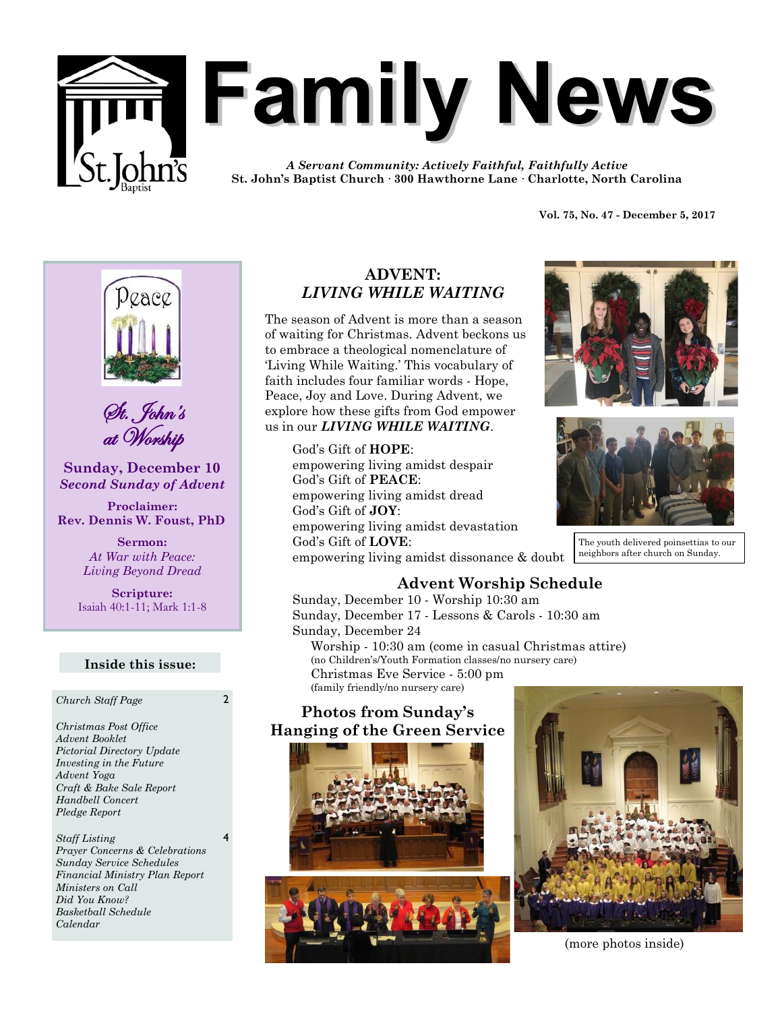

# **Family News**

*A Servant Community: Actively Faithful, Faithfully Active* **St. John's Baptist Church · 300 Hawthorne Lane · Charlotte, North Carolina**

**Vol. 75, No. 47 - December 5, 2017** 



St. John's at Worship

**Sunday, December 10** *Second Sunday of Advent*

**Proclaimer: Rev. Dennis W. Foust, PhD**

> **Sermon:** *At War with Peace: Living Beyond Dread*

**Scripture:** Isaiah 40:1-11; Mark 1:1-8

#### **Inside this issue:**

*Church Staff Page* 2

*Christmas Post Office Advent Booklet Pictorial Directory Update Investing in the Future Advent Yoga Craft & Bake Sale Report Handbell Concert Pledge Report*

*Staff Listing Prayer Concerns & Celebrations Sunday Service Schedules Financial Ministry Plan Report Ministers on Call Did You Know? Basketball Schedule Calendar*

4

# **ADVENT:**  *LIVING WHILE WAITING*

The season of Advent is more than a season of waiting for Christmas. Advent beckons us to embrace a theological nomenclature of 'Living While Waiting.' This vocabulary of faith includes four familiar words - Hope, Peace, Joy and Love. During Advent, we explore how these gifts from God empower us in our *LIVING WHILE WAITING*.

> God's Gift of **HOPE**: empowering living amidst despair God's Gift of **PEACE**: empowering living amidst dread God's Gift of **JOY**: empowering living amidst devastation God's Gift of **LOVE**: empowering living amidst dissonance & doubt





The youth delivered poinsettias to our neighbors after church on Sunday.

# **Advent Worship Schedule**

Sunday, December 10 - Worship 10:30 am Sunday, December 17 - Lessons & Carols - 10:30 am Sunday, December 24 Worship - 10:30 am (come in casual Christmas attire) (no Children's/Youth Formation classes/no nursery care) Christmas Eve Service - 5:00 pm (family friendly/no nursery care)

# **Photos from Sunday's Hanging of the Green Service**





(more photos inside)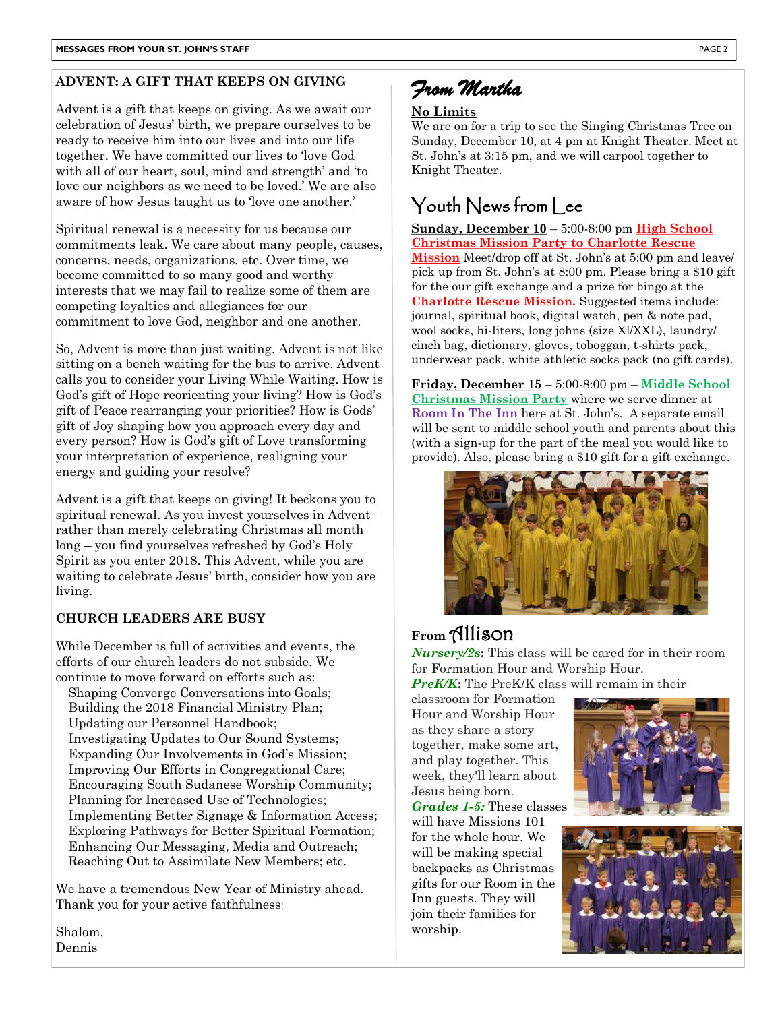# **ADVENT: A GIFT THAT KEEPS ON GIVING**

Advent is a gift that keeps on giving. As we await our celebration of Jesus' birth, we prepare ourselves to be ready to receive him into our lives and into our life together. We have committed our lives to 'love God with all of our heart, soul, mind and strength' and 'to love our neighbors as we need to be loved.' We are also aware of how Jesus taught us to 'love one another.'

Spiritual renewal is a necessity for us because our commitments leak. We care about many people, causes, concerns, needs, organizations, etc. Over time, we become committed to so many good and worthy interests that we may fail to realize some of them are competing loyalties and allegiances for our commitment to love God, neighbor and one another.

So, Advent is more than just waiting. Advent is not like sitting on a bench waiting for the bus to arrive. Advent calls you to consider your Living While Waiting. How is God's gift of Hope reorienting your living? How is God's gift of Peace rearranging your priorities? How is Gods' gift of Joy shaping how you approach every day and every person? How is God's gift of Love transforming your interpretation of experience, realigning your energy and guiding your resolve?

Advent is a gift that keeps on giving! It beckons you to spiritual renewal. As you invest yourselves in Advent – rather than merely celebrating Christmas all month long – you find yourselves refreshed by God's Holy Spirit as you enter 2018. This Advent, while you are waiting to celebrate Jesus' birth, consider how you are living.

# **CHURCH LEADERS ARE BUSY**

While December is full of activities and events, the efforts of our church leaders do not subside. We continue to move forward on efforts such as:

Shaping Converge Conversations into Goals; Building the 2018 Financial Ministry Plan; Updating our Personnel Handbook; Investigating Updates to Our Sound Systems; Expanding Our Involvements in God's Mission; Improving Our Efforts in Congregational Care; Encouraging South Sudanese Worship Community; Planning for Increased Use of Technologies; Implementing Better Signage & Information Access; Exploring Pathways for Better Spiritual Formation; Enhancing Our Messaging, Media and Outreach; Reaching Out to Assimilate New Members; etc.

We have a tremendous New Year of Ministry ahead. Thank you for your active faithfulness!

Shalom, Dennis



## **No Limits**

We are on for a trip to see the Singing Christmas Tree on Sunday, December 10, at 4 pm at Knight Theater. Meet at St. John's at 3:15 pm, and we will carpool together to Knight Theater.

# Youth News from lee

**Sunday, December 10** – 5:00-8:00 pm **High School Christmas Mission Party to Charlotte Rescue Mission** Meet/drop off at St. John's at 5:00 pm and leave/ pick up from St. John's at 8:00 pm. Please bring a \$10 gift for the our gift exchange and a prize for bingo at the **Charlotte Rescue Mission.** Suggested items include: journal, spiritual book, digital watch, pen & note pad, wool socks, hi-liters, long johns (size Xl/XXL), laundry/ cinch bag, dictionary, gloves, toboggan, t-shirts pack, underwear pack, white athletic socks pack (no gift cards).

**Friday, December 15** – 5:00-8:00 pm – **Middle School Christmas Mission Party** where we serve dinner at **Room In The Inn** here at St. John's. A separate email will be sent to middle school youth and parents about this (with a sign-up for the part of the meal you would like to provide). Also, please bring a \$10 gift for a gift exchange.



# **From** Allison

*Nursery/2s***:** This class will be cared for in their room for Formation Hour and Worship Hour. *PreK/K***:** The PreK/K class will remain in their

classroom for Formation Hour and Worship Hour as they share a story together, make some art, and play together. This week, they'll learn about Jesus being born. *Grades 1-5:* These classes

will have Missions 101 for the whole hour. We will be making special backpacks as Christmas gifts for our Room in the Inn guests. They will join their families for worship.



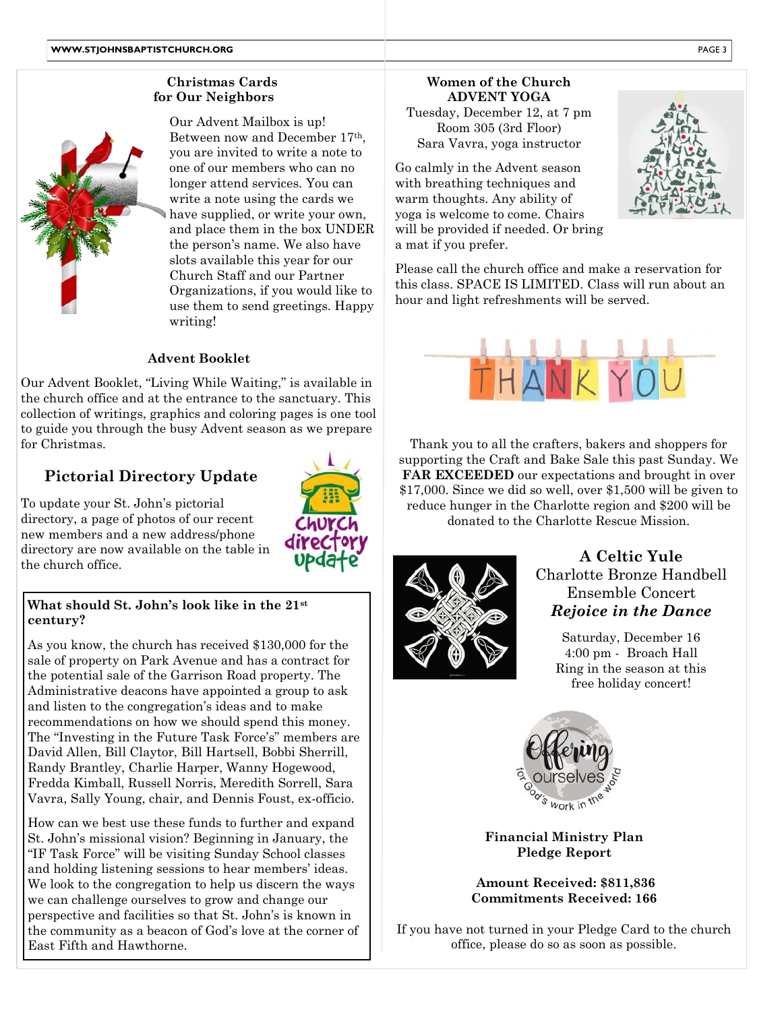# **Christmas Cards for Our Neighbors**



4 slots available this year for our Our Advent Mailbox is up! Between now and December 17th, you are invited to write a note to one of our members who can no longer attend services. You can write a note using the cards we have supplied, or write your own, and place them in the box UNDER the person's name. We also have Church Staff and our Partner Organizations, if you would like to use them to send greetings. Happy writing!

6

## **Advent Booklet**

2 collection of writings, graphics and coloring pages is one tool 5 to guide you through the busy Advent season as we prepare Our Advent Booklet, "Living While Waiting," is available in the church office and at the entrance to the sanctuary. This for Christmas.

# **Pictorial Directory Update**

the church office. To update your St. John's pictorial directory, a page of photos of our recent new members and a new address/phone directory are now available on the table in

## **What should St. John's look like in the 21st century?**

As you know, the church has received \$130,000 for the sale of property on Park Avenue and has a contract for the potential sale of the Garrison Road property. The Administrative deacons have appointed a group to ask and listen to the congregation's ideas and to make recommendations on how we should spend this money. The "Investing in the Future Task Force's" members are David Allen, Bill Claytor, Bill Hartsell, Bobbi Sherrill, Randy Brantley, Charlie Harper, Wanny Hogewood, Fredda Kimball, Russell Norris, Meredith Sorrell, Sara Vavra, Sally Young, chair, and Dennis Foust, ex-officio.

How can we best use these funds to further and expand St. John's missional vision? Beginning in January, the "IF Task Force" will be visiting Sunday School classes and holding listening sessions to hear members' ideas. We look to the congregation to help us discern the ways we can challenge ourselves to grow and change our perspective and facilities so that St. John's is known in the community as a beacon of God's love at the corner of East Fifth and Hawthorne.

**Women of the Church ADVENT YOGA** Tuesday, December 12, at 7 pm Room 305 (3rd Floor) Sara Vavra, yoga instructor

will be provided if needed. Or bring<br>a mat if you prefer Go calmly in the Advent season with breathing techniques and warm thoughts. Any ability of yoga is welcome to come. Chairs a mat if you prefer.

Please call the church office and make a reservation for this class. SPACE IS LIMITED. Class will run about an hour and light refreshments will be served.



8 supporting the Craft and Bake Sale this past Sunday. We Thank you to all the crafters, bakers and shoppers for **FAR EXCEEDED** our expectations and brought in over \$17,000. Since we did so well, over \$1,500 will be given to reduce hunger in the Charlotte region and \$200 will be donated to the Charlotte Rescue Mission.



# **A Celtic Yule** Charlotte Bronze Handbell Ensemble Concert *Rejoice in the Dance*

Saturday, December 16 4:00 pm - Broach Hall Ring in the season at this free holiday concert!



**Financial Ministry Plan Pledge Report**

**Amount Received: \$811,836 Commitments Received: 166**

If you have not turned in your Pledge Card to the church office, please do so as soon as possible.